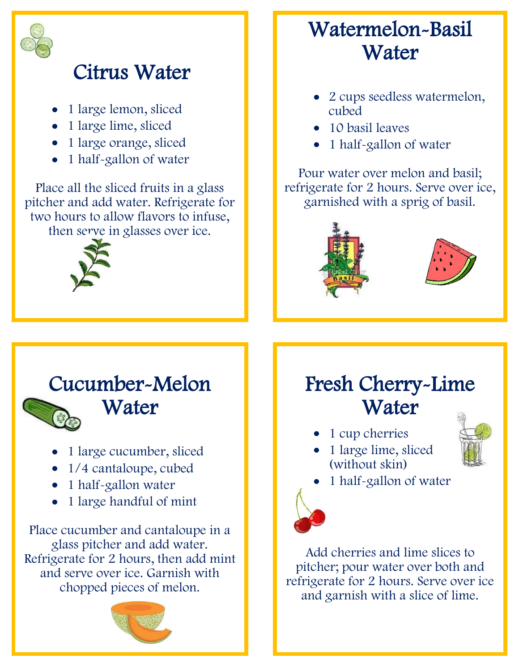

## Citrus Water

- 1 large lemon, sliced
- 1 large lime, sliced
- 1 large orange, sliced
- 1 half-gallon of water

Place all the sliced fruits in a glass pitcher and add water. Refrigerate for two hours to allow flavors to infuse, then serve in glasses over ice.



### Watermelon-Basil **Water**

- 2 cups seedless watermelon, cubed
- 10 basil leaves
- 1 half-gallon of water

Pour water over melon and basil; refrigerate for 2 hours. Serve over ice, garnished with a sprig of basil.



#### Cucumber-Melon



# **Water**

- 1 large cucumber, sliced
- 1/4 cantaloupe, cubed
- 1 half-gallon water
- 1 large handful of mint

Place cucumber and cantaloupe in a glass pitcher and add water. Refrigerate for 2 hours, then add mint and serve over ice. Garnish with chopped pieces of melon.



## Fresh Cherry-Lime **Water**

- 1 cup cherries
- 1 large lime, sliced (without skin)



1 half-gallon of water



Add cherries and lime slices to pitcher; pour water over both and refrigerate for 2 hours. Serve over ice and garnish with a slice of lime.